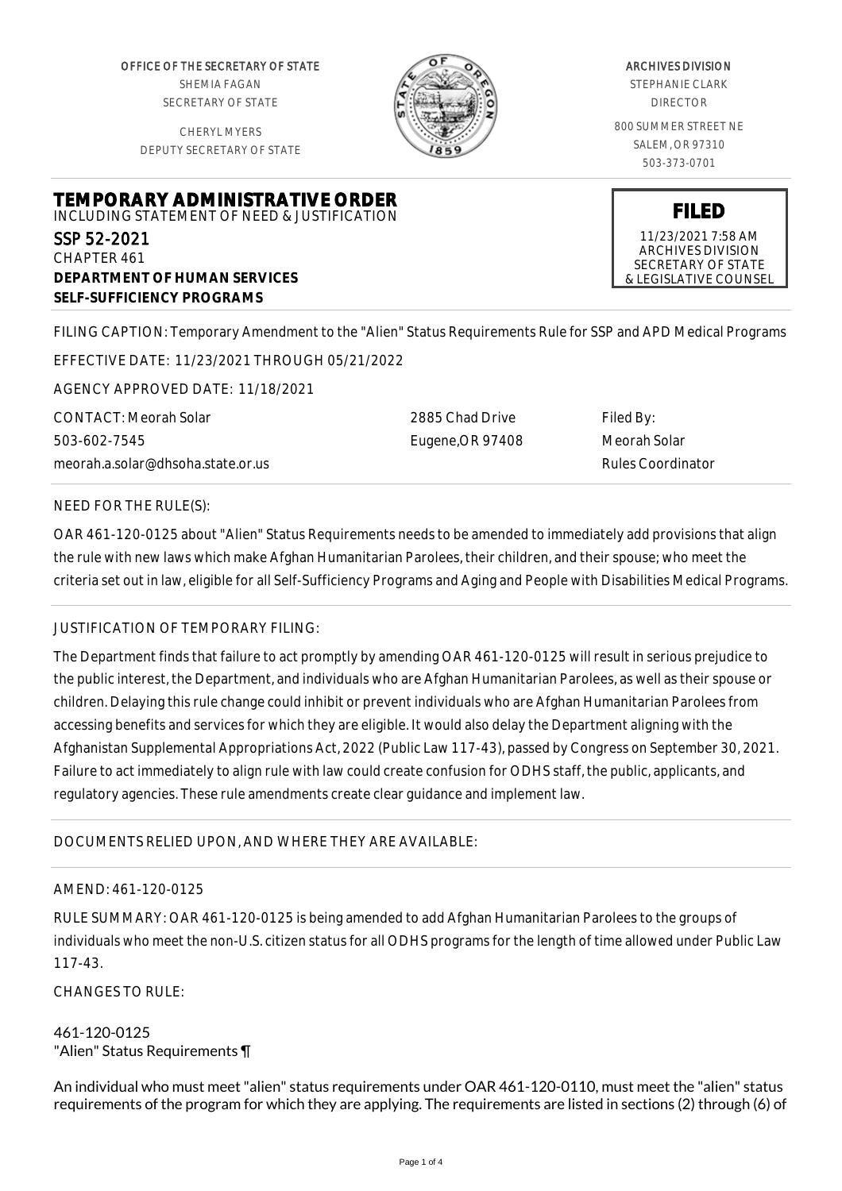OFFICE OF THE SECRETARY OF STATE SHEMIA FAGAN SECRETARY OF STATE

CHERYL MYERS DEPUTY SECRETARY OF STATE



### ARCHIVES DIVISION

STEPHANIE CLARK DIRECTOR

800 SUMMER STREET NE SALEM, OR 97310 503-373-0701

**FILED** 11/23/2021 7:58 AM ARCHIVES DIVISION SECRETARY OF STATE & LEGISLATIVE COUNSEL

**TEMPORARY ADMINISTRATIVE ORDER** INCLUDING STATEMENT OF NEED & JUSTIFICATION SSP 52-2021 CHAPTER 461

FILING CAPTION: Temporary Amendment to the "Alien" Status Requirements Rule for SSP and APD Medical Programs

EFFECTIVE DATE: 11/23/2021 THROUGH 05/21/2022

AGENCY APPROVED DATE: 11/18/2021

**DEPARTMENT OF HUMAN SERVICES**

**SELF-SUFFICIENCY PROGRAMS**

CONTACT: Meorah Solar 503-602-7545 meorah.a.solar@dhsoha.state.or.us

2885 Chad Drive Eugene,OR 97408 Filed By: Meorah Solar Rules Coordinator

## NEED FOR THE RULE(S):

OAR 461-120-0125 about "Alien" Status Requirements needs to be amended to immediately add provisions that align the rule with new laws which make Afghan Humanitarian Parolees, their children, and their spouse; who meet the criteria set out in law, eligible for all Self-Sufficiency Programs and Aging and People with Disabilities Medical Programs.

### JUSTIFICATION OF TEMPORARY FILING:

The Department finds that failure to act promptly by amending OAR 461-120-0125 will result in serious prejudice to the public interest, the Department, and individuals who are Afghan Humanitarian Parolees, as well as their spouse or children. Delaying this rule change could inhibit or prevent individuals who are Afghan Humanitarian Parolees from accessing benefits and services for which they are eligible. It would also delay the Department aligning with the Afghanistan Supplemental Appropriations Act, 2022 (Public Law 117-43), passed by Congress on September 30, 2021. Failure to act immediately to align rule with law could create confusion for ODHS staff, the public, applicants, and regulatory agencies. These rule amendments create clear guidance and implement law.

# DOCUMENTS RELIED UPON, AND WHERE THEY ARE AVAILABLE:

### AMEND: 461-120-0125

RULE SUMMARY: OAR 461-120-0125 is being amended to add Afghan Humanitarian Parolees to the groups of individuals who meet the non-U.S. citizen status for all ODHS programs for the length of time allowed under Public Law 117-43.

CHANGES TO RULE:

### 461-120-0125 "Alien" Status Requirements ¶

An individual who must meet "alien" status requirements under OAR 461-120-0110, must meet the "alien" status requirements of the program for which they are applying. The requirements are listed in sections (2) through (6) of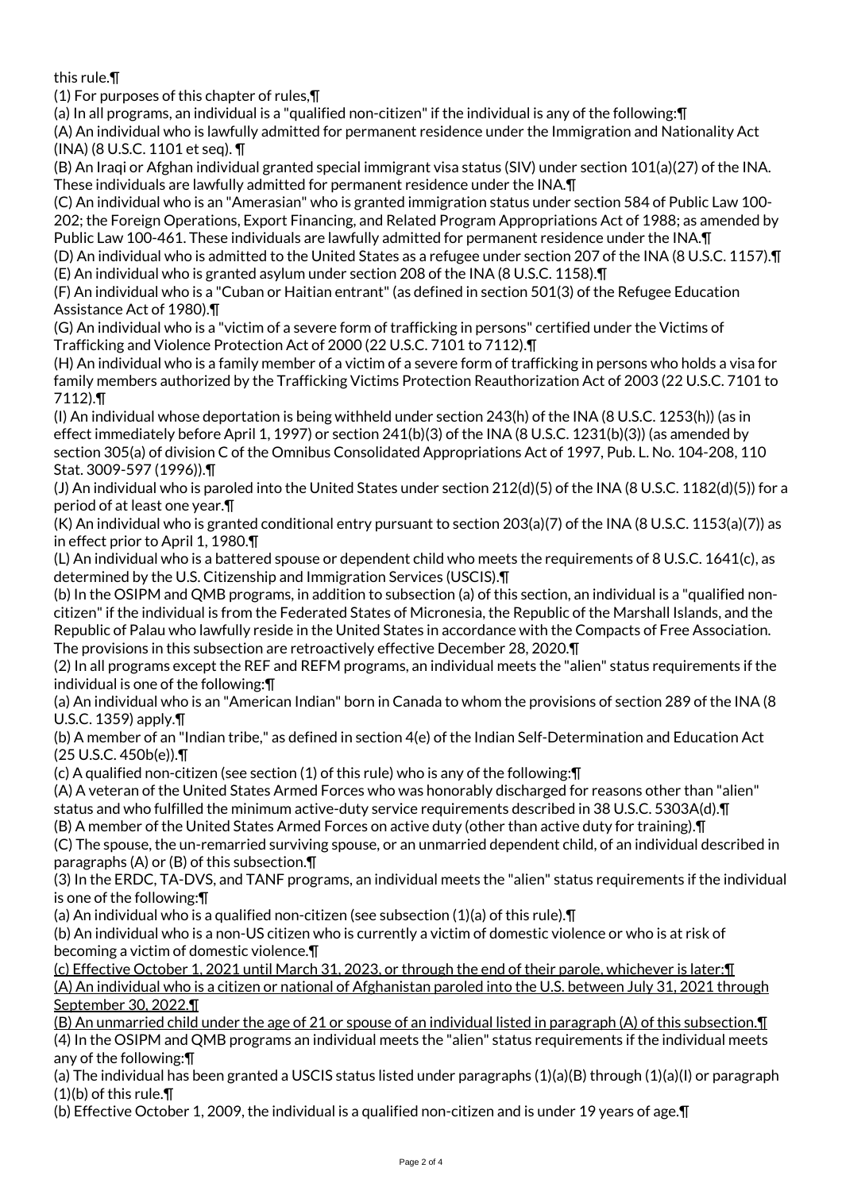this rule.¶

(1) For purposes of this chapter of rules,¶

(a) In all programs, an individual is a "qualified non-citizen" if the individual is any of the following:¶

(A) An individual who is lawfully admitted for permanent residence under the Immigration and Nationality Act (INA) (8 U.S.C. 1101 et seq). ¶

(B) An Iraqi or Afghan individual granted special immigrant visa status (SIV) under section 101(a)(27) of the INA. These individuals are lawfully admitted for permanent residence under the INA.¶

(C) An individual who is an "Amerasian" who is granted immigration status under section 584 of Public Law 100- 202; the Foreign Operations, Export Financing, and Related Program Appropriations Act of 1988; as amended by Public Law 100-461. These individuals are lawfully admitted for permanent residence under the INA.¶

(D) An individual who is admitted to the United States as a refugee under section 207 of the INA (8 U.S.C. 1157).¶ (E) An individual who is granted asylum under section 208 of the INA (8 U.S.C. 1158).¶

(F) An individual who is a "Cuban or Haitian entrant" (as defined in section 501(3) of the Refugee Education Assistance Act of 1980).¶

(G) An individual who is a "victim of a severe form of trafficking in persons" certified under the Victims of Trafficking and Violence Protection Act of 2000 (22 U.S.C. 7101 to 7112).¶

(H) An individual who is a family member of a victim of a severe form of trafficking in persons who holds a visa for family members authorized by the Trafficking Victims Protection Reauthorization Act of 2003 (22 U.S.C. 7101 to 7112).¶

(I) An individual whose deportation is being withheld under section 243(h) of the INA (8 U.S.C. 1253(h)) (as in effect immediately before April 1, 1997) or section 241(b)(3) of the INA (8 U.S.C. 1231(b)(3)) (as amended by section 305(a) of division C of the Omnibus Consolidated Appropriations Act of 1997, Pub. L. No. 104-208, 110 Stat. 3009-597 (1996)).¶

(J) An individual who is paroled into the United States under section 212(d)(5) of the INA (8 U.S.C. 1182(d)(5)) for a period of at least one year.¶

(K) An individual who is granted conditional entry pursuant to section 203(a)(7) of the INA (8 U.S.C. 1153(a)(7)) as in effect prior to April 1, 1980.¶

(L) An individual who is a battered spouse or dependent child who meets the requirements of 8 U.S.C. 1641(c), as determined by the U.S. Citizenship and Immigration Services (USCIS).¶

(b) In the OSIPM and QMB programs, in addition to subsection (a) of this section, an individual is a "qualified noncitizen" if the individual is from the Federated States of Micronesia, the Republic of the Marshall Islands, and the Republic of Palau who lawfully reside in the United States in accordance with the Compacts of Free Association. The provisions in this subsection are retroactively effective December 28, 2020.¶

(2) In all programs except the REF and REFM programs, an individual meets the "alien" status requirements if the individual is one of the following:¶

(a) An individual who is an "American Indian" born in Canada to whom the provisions of section 289 of the INA (8 U.S.C. 1359) apply.¶

(b) A member of an "Indian tribe," as defined in section 4(e) of the Indian Self-Determination and Education Act (25 U.S.C. 450b(e)).¶

(c) A qualified non-citizen (see section (1) of this rule) who is any of the following:¶

(A) A veteran of the United States Armed Forces who was honorably discharged for reasons other than "alien" status and who fulfilled the minimum active-duty service requirements described in 38 U.S.C. 5303A(d).¶

(B) A member of the United States Armed Forces on active duty (other than active duty for training).¶

(C) The spouse, the un-remarried surviving spouse, or an unmarried dependent child, of an individual described in paragraphs (A) or (B) of this subsection.¶

(3) In the ERDC, TA-DVS, and TANF programs, an individual meets the "alien" status requirements if the individual is one of the following:¶

(a) An individual who is a qualified non-citizen (see subsection (1)(a) of this rule).¶

(b) An individual who is a non-US citizen who is currently a victim of domestic violence or who is at risk of becoming a victim of domestic violence.¶

(c) Effective October 1, 2021 until March 31, 2023, or through the end of their parole, whichever is later:¶ (A) An individual who is a citizen or national of Afghanistan paroled into the U.S. between July 31, 2021 through September 30, 2022.¶

(B) An unmarried child under the age of 21 or spouse of an individual listed in paragraph (A) of this subsection.¶ (4) In the OSIPM and QMB programs an individual meets the "alien" status requirements if the individual meets any of the following:¶

(a) The individual has been granted a USCIS status listed under paragraphs (1)(a)(B) through (1)(a)(I) or paragraph (1)(b) of this rule.¶

(b) Effective October 1, 2009, the individual is a qualified non-citizen and is under 19 years of age.¶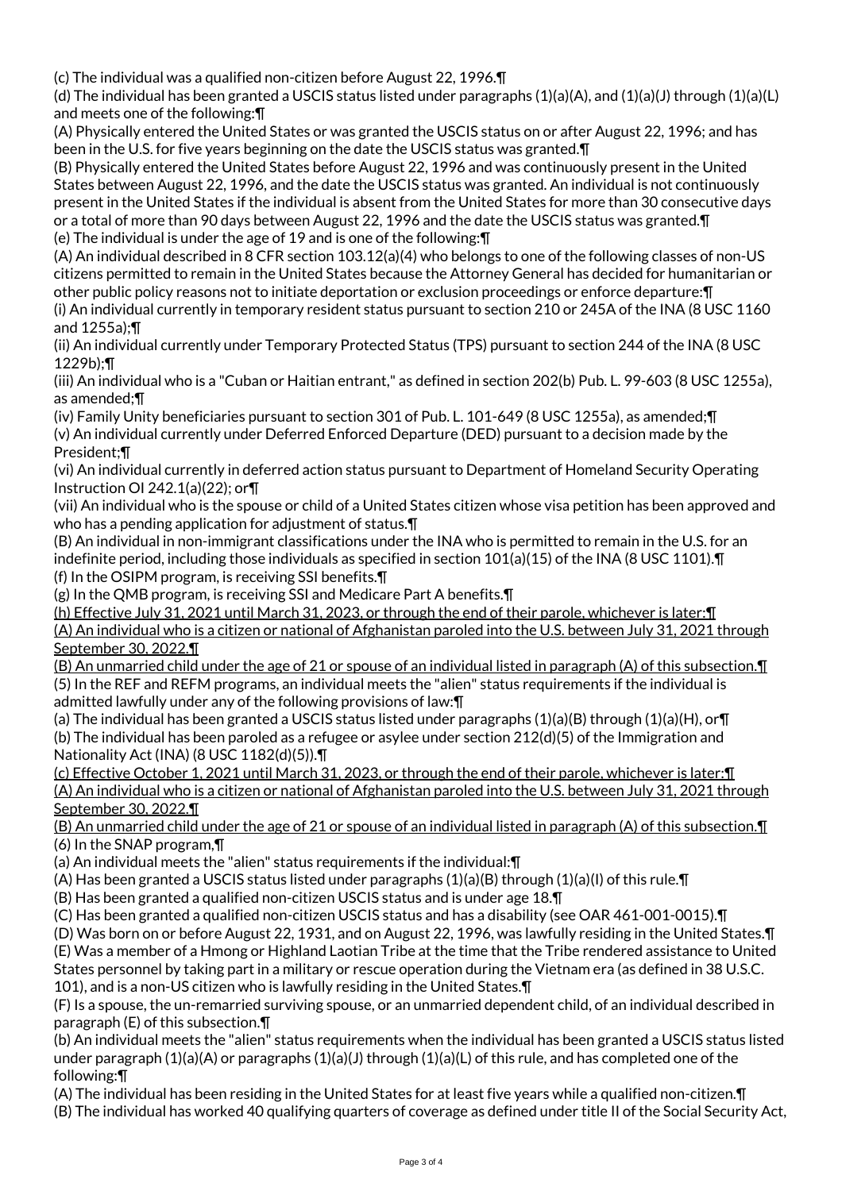(c) The individual was a qualified non-citizen before August 22, 1996.¶

(d) The individual has been granted a USCIS status listed under paragraphs (1)(a)(A), and (1)(a)(J) through (1)(a)(L) and meets one of the following:¶

(A) Physically entered the United States or was granted the USCIS status on or after August 22, 1996; and has been in the U.S. for five years beginning on the date the USCIS status was granted.¶

(B) Physically entered the United States before August 22, 1996 and was continuously present in the United States between August 22, 1996, and the date the USCIS status was granted. An individual is not continuously present in the United States if the individual is absent from the United States for more than 30 consecutive days or a total of more than 90 days between August 22, 1996 and the date the USCIS status was granted.¶ (e) The individual is under the age of 19 and is one of the following:¶

(A) An individual described in 8 CFR section 103.12(a)(4) who belongs to one of the following classes of non-US citizens permitted to remain in the United States because the Attorney General has decided for humanitarian or other public policy reasons not to initiate deportation or exclusion proceedings or enforce departure:¶ (i) An individual currently in temporary resident status pursuant to section 210 or 245A of the INA (8 USC 1160 and 1255a);¶

(ii) An individual currently under Temporary Protected Status (TPS) pursuant to section 244 of the INA (8 USC 1229b);¶

(iii) An individual who is a "Cuban or Haitian entrant," as defined in section 202(b) Pub. L. 99-603 (8 USC 1255a), as amended;¶

(iv) Family Unity beneficiaries pursuant to section 301 of Pub. L. 101-649 (8 USC 1255a), as amended;¶ (v) An individual currently under Deferred Enforced Departure (DED) pursuant to a decision made by the President;¶

(vi) An individual currently in deferred action status pursuant to Department of Homeland Security Operating Instruction OI 242.1(a)(22); or¶

(vii) An individual who is the spouse or child of a United States citizen whose visa petition has been approved and who has a pending application for adjustment of status. The

(B) An individual in non-immigrant classifications under the INA who is permitted to remain in the U.S. for an indefinite period, including those individuals as specified in section 101(a)(15) of the INA (8 USC 1101).¶ (f) In the OSIPM program, is receiving SSI benefits.¶

(g) In the QMB program, is receiving SSI and Medicare Part A benefits.¶

(h) Effective July 31, 2021 until March 31, 2023, or through the end of their parole, whichever is later:¶ (A) An individual who is a citizen or national of Afghanistan paroled into the U.S. between July 31, 2021 through September 30, 2022.¶

(B) An unmarried child under the age of 21 or spouse of an individual listed in paragraph (A) of this subsection.¶ (5) In the REF and REFM programs, an individual meets the "alien" status requirements if the individual is admitted lawfully under any of the following provisions of law:¶

(a) The individual has been granted a USCIS status listed under paragraphs  $(1)(a)(B)$  through  $(1)(a)(H)$ , or $\P$ (b) The individual has been paroled as a refugee or asylee under section 212(d)(5) of the Immigration and Nationality Act (INA) (8 USC 1182(d)(5)).¶

(c) Effective October 1, 2021 until March 31, 2023, or through the end of their parole, whichever is later:¶ (A) An individual who is a citizen or national of Afghanistan paroled into the U.S. between July 31, 2021 through September 30, 2022.¶

(B) An unmarried child under the age of 21 or spouse of an individual listed in paragraph (A) of this subsection.¶ (6) In the SNAP program,¶

(a) An individual meets the "alien" status requirements if the individual:¶

(A) Has been granted a USCIS status listed under paragraphs  $(1)(a)(B)$  through  $(1)(a)(I)$  of this rule. If

(B) Has been granted a qualified non-citizen USCIS status and is under age 18.¶

(C) Has been granted a qualified non-citizen USCIS status and has a disability (see OAR 461-001-0015).¶

(D) Was born on or before August 22, 1931, and on August 22, 1996, was lawfully residing in the United States.¶ (E) Was a member of a Hmong or Highland Laotian Tribe at the time that the Tribe rendered assistance to United States personnel by taking part in a military or rescue operation during the Vietnam era (as defined in 38 U.S.C. 101), and is a non-US citizen who is lawfully residing in the United States.¶

(F) Is a spouse, the un-remarried surviving spouse, or an unmarried dependent child, of an individual described in paragraph (E) of this subsection.¶

(b) An individual meets the "alien" status requirements when the individual has been granted a USCIS status listed under paragraph (1)(a)(A) or paragraphs (1)(a)(J) through (1)(a)(L) of this rule, and has completed one of the following:¶

(A) The individual has been residing in the United States for at least five years while a qualified non-citizen.¶

(B) The individual has worked 40 qualifying quarters of coverage as defined under title II of the Social Security Act,